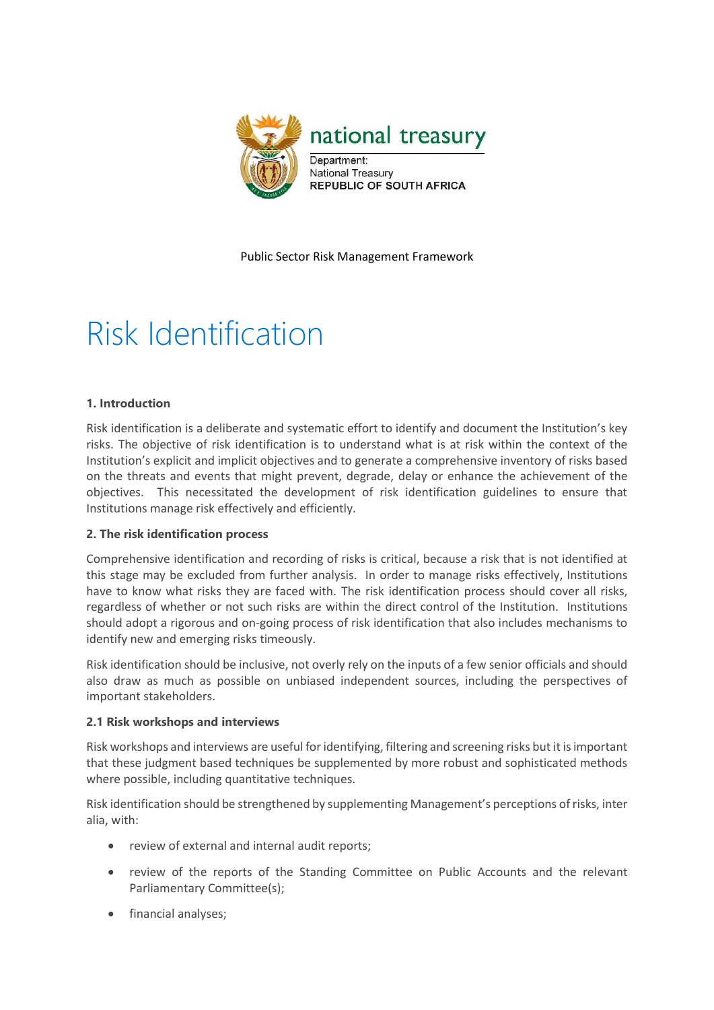

Public Sector Risk Management Framework

# Risk Identification

## **1. Introduction**

Risk identification is a deliberate and systematic effort to identify and document the Institution's key risks. The objective of risk identification is to understand what is at risk within the context of the Institution's explicit and implicit objectives and to generate a comprehensive inventory of risks based on the threats and events that might prevent, degrade, delay or enhance the achievement of the objectives. This necessitated the development of risk identification guidelines to ensure that Institutions manage risk effectively and efficiently.

#### **2. The risk identification process**

Comprehensive identification and recording of risks is critical, because a risk that is not identified at this stage may be excluded from further analysis. In order to manage risks effectively, Institutions have to know what risks they are faced with. The risk identification process should cover all risks, regardless of whether or not such risks are within the direct control of the Institution. Institutions should adopt a rigorous and on-going process of risk identification that also includes mechanisms to identify new and emerging risks timeously.

Risk identification should be inclusive, not overly rely on the inputs of a few senior officials and should also draw as much as possible on unbiased independent sources, including the perspectives of important stakeholders.

#### **2.1 Risk workshops and interviews**

Risk workshops and interviews are useful for identifying, filtering and screening risks but it is important that these judgment based techniques be supplemented by more robust and sophisticated methods where possible, including quantitative techniques.

Risk identification should be strengthened by supplementing Management's perceptions of risks, inter alia, with:

- review of external and internal audit reports;
- review of the reports of the Standing Committee on Public Accounts and the relevant Parliamentary Committee(s);
- financial analyses;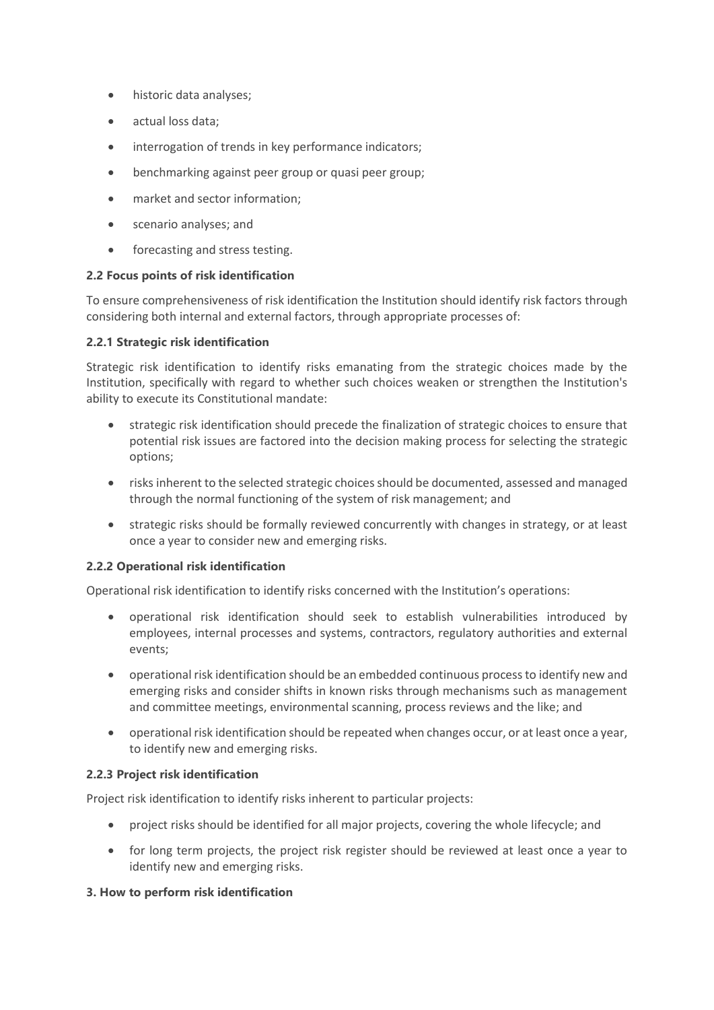- historic data analyses;
- actual loss data;
- interrogation of trends in key performance indicators;
- benchmarking against peer group or quasi peer group;
- market and sector information:
- scenario analyses; and
- forecasting and stress testing.

## **2.2 Focus points of risk identification**

To ensure comprehensiveness of risk identification the Institution should identify risk factors through considering both internal and external factors, through appropriate processes of:

## **2.2.1 Strategic risk identification**

Strategic risk identification to identify risks emanating from the strategic choices made by the Institution, specifically with regard to whether such choices weaken or strengthen the Institution's ability to execute its Constitutional mandate:

- strategic risk identification should precede the finalization of strategic choices to ensure that potential risk issues are factored into the decision making process for selecting the strategic options;
- risks inherent to the selected strategic choices should be documented, assessed and managed through the normal functioning of the system of risk management; and
- strategic risks should be formally reviewed concurrently with changes in strategy, or at least once a year to consider new and emerging risks.

#### **2.2.2 Operational risk identification**

Operational risk identification to identify risks concerned with the Institution's operations:

- operational risk identification should seek to establish vulnerabilities introduced by employees, internal processes and systems, contractors, regulatory authorities and external events;
- operational risk identification should be an embedded continuous process to identify new and emerging risks and consider shifts in known risks through mechanisms such as management and committee meetings, environmental scanning, process reviews and the like; and
- operational risk identification should be repeated when changes occur, or at least once a year, to identify new and emerging risks.

#### **2.2.3 Project risk identification**

Project risk identification to identify risks inherent to particular projects:

- project risks should be identified for all major projects, covering the whole lifecycle; and
- for long term projects, the project risk register should be reviewed at least once a year to identify new and emerging risks.

#### **3. How to perform risk identification**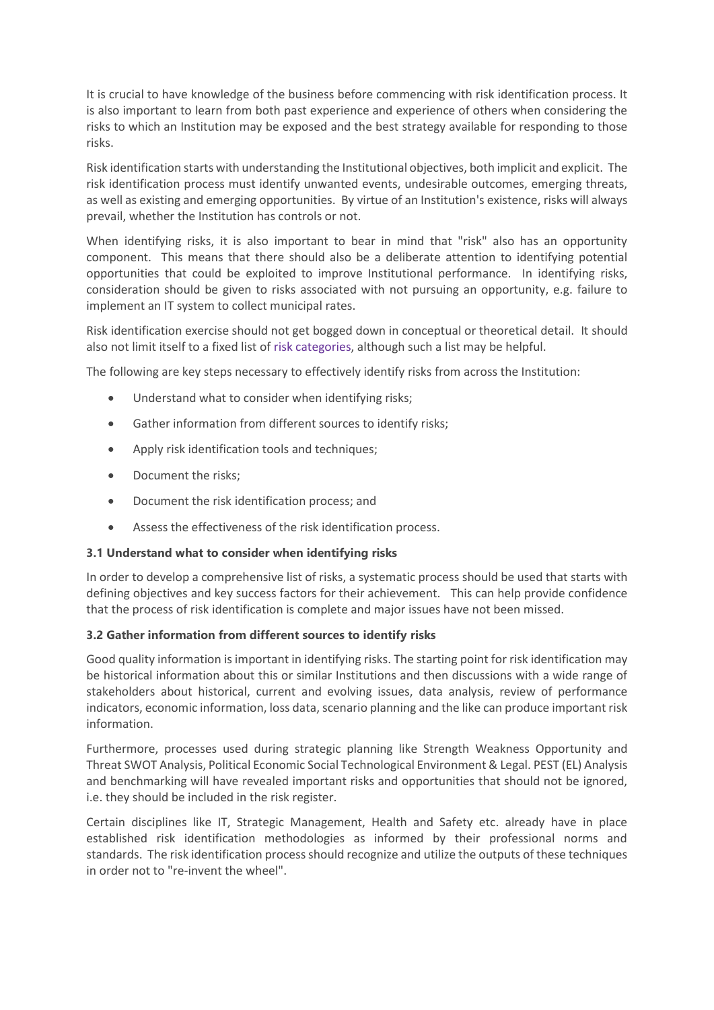It is crucial to have knowledge of the business before commencing with risk identification process. It is also important to learn from both past experience and experience of others when considering the risks to which an Institution may be exposed and the best strategy available for responding to those risks.

Risk identification starts with understanding the Institutional objectives, both implicit and explicit. The risk identification process must identify unwanted events, undesirable outcomes, emerging threats, as well as existing and emerging opportunities. By virtue of an Institution's existence, risks will always prevail, whether the Institution has controls or not.

When identifying risks, it is also important to bear in mind that "risk" also has an opportunity component. This means that there should also be a deliberate attention to identifying potential opportunities that could be exploited to improve Institutional performance. In identifying risks, consideration should be given to risks associated with not pursuing an opportunity, e.g. failure to implement an IT system to collect municipal rates.

Risk identification exercise should not get bogged down in conceptual or theoretical detail. It should also not limit itself to a fixed list of [risk categories,](http://ag.treasury.gov.za/org/rms/rmf/Shared%20Documents/Templates/01.%20Template%20Risk%20Categories.doc) although such a list may be helpful.

The following are key steps necessary to effectively identify risks from across the Institution:

- Understand what to consider when identifying risks;
- Gather information from different sources to identify risks;
- Apply risk identification tools and techniques;
- Document the risks;
- Document the risk identification process; and
- Assess the effectiveness of the risk identification process.

#### **3.1 Understand what to consider when identifying risks**

In order to develop a comprehensive list of risks, a systematic process should be used that starts with defining objectives and key success factors for their achievement. This can help provide confidence that the process of risk identification is complete and major issues have not been missed.

#### **3.2 Gather information from different sources to identify risks**

Good quality information is important in identifying risks. The starting point for risk identification may be historical information about this or similar Institutions and then discussions with a wide range of stakeholders about historical, current and evolving issues, data analysis, review of performance indicators, economic information, loss data, scenario planning and the like can produce important risk information.

Furthermore, processes used during strategic planning like Strength Weakness Opportunity and Threat SWOT Analysis, Political Economic Social Technological Environment & Legal. PEST (EL) Analysis and benchmarking will have revealed important risks and opportunities that should not be ignored, i.e. they should be included in the risk register.

Certain disciplines like IT, Strategic Management, Health and Safety etc. already have in place established risk identification methodologies as informed by their professional norms and standards. The risk identification process should recognize and utilize the outputs of these techniques in order not to "re-invent the wheel".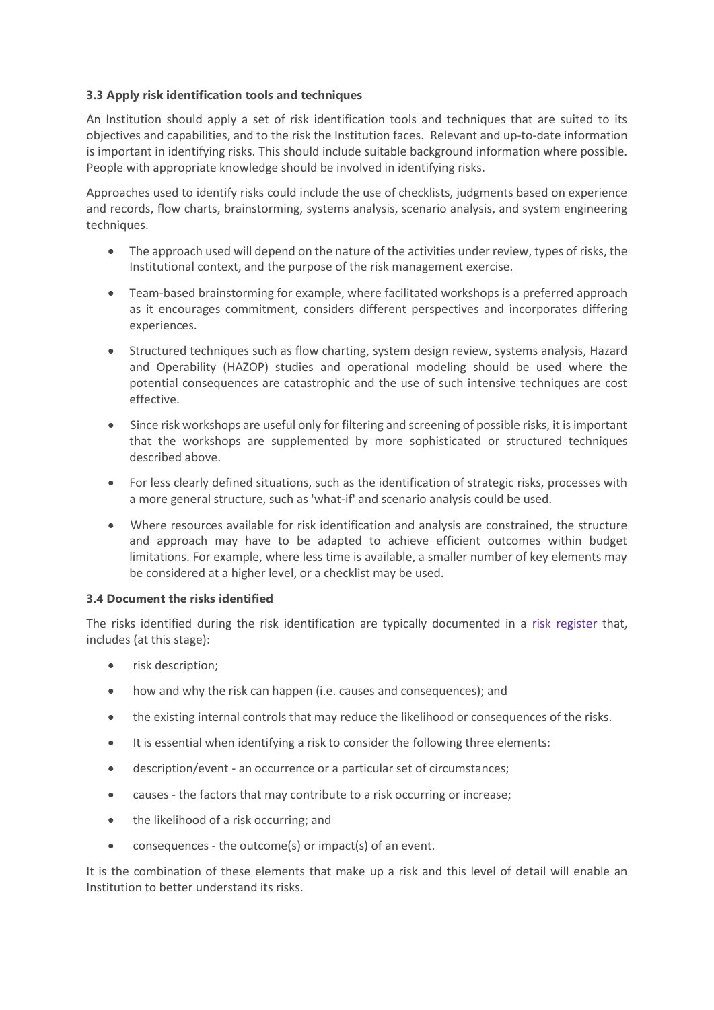## **3.3 Apply risk identification tools and techniques**

An Institution should apply a set of risk identification tools and techniques that are suited to its objectives and capabilities, and to the risk the Institution faces. Relevant and up-to-date information is important in identifying risks. This should include suitable background information where possible. People with appropriate knowledge should be involved in identifying risks.

Approaches used to identify risks could include the use of checklists, judgments based on experience and records, flow charts, brainstorming, systems analysis, scenario analysis, and system engineering techniques.

- The approach used will depend on the nature of the activities under review, types of risks, the Institutional context, and the purpose of the risk management exercise.
- Team-based brainstorming for example, where facilitated workshops is a preferred approach as it encourages commitment, considers different perspectives and incorporates differing experiences.
- Structured techniques such as flow charting, system design review, systems analysis, Hazard and Operability (HAZOP) studies and operational modeling should be used where the potential consequences are catastrophic and the use of such intensive techniques are cost effective.
- Since risk workshops are useful only for filtering and screening of possible risks, it is important that the workshops are supplemented by more sophisticated or structured techniques described above.
- For less clearly defined situations, such as the identification of strategic risks, processes with a more general structure, such as 'what-if' and scenario analysis could be used.
- Where resources available for risk identification and analysis are constrained, the structure and approach may have to be adapted to achieve efficient outcomes within budget limitations. For example, where less time is available, a smaller number of key elements may be considered at a higher level, or a checklist may be used.

#### **3.4 Document the risks identified**

The risks identified during the risk identification are typically documented in a [risk register](http://ag.treasury.gov.za/org/rms/rmf/Shared%20Documents/Examples/03.%20Example%20Risk%20Register.xls) that, includes (at this stage):

- risk description;
- how and why the risk can happen (i.e. causes and consequences); and
- the existing internal controls that may reduce the likelihood or consequences of the risks.
- It is essential when identifying a risk to consider the following three elements:
- description/event an occurrence or a particular set of circumstances;
- causes the factors that may contribute to a risk occurring or increase;
- the likelihood of a risk occurring; and
- consequences the outcome(s) or impact(s) of an event.

It is the combination of these elements that make up a risk and this level of detail will enable an Institution to better understand its risks.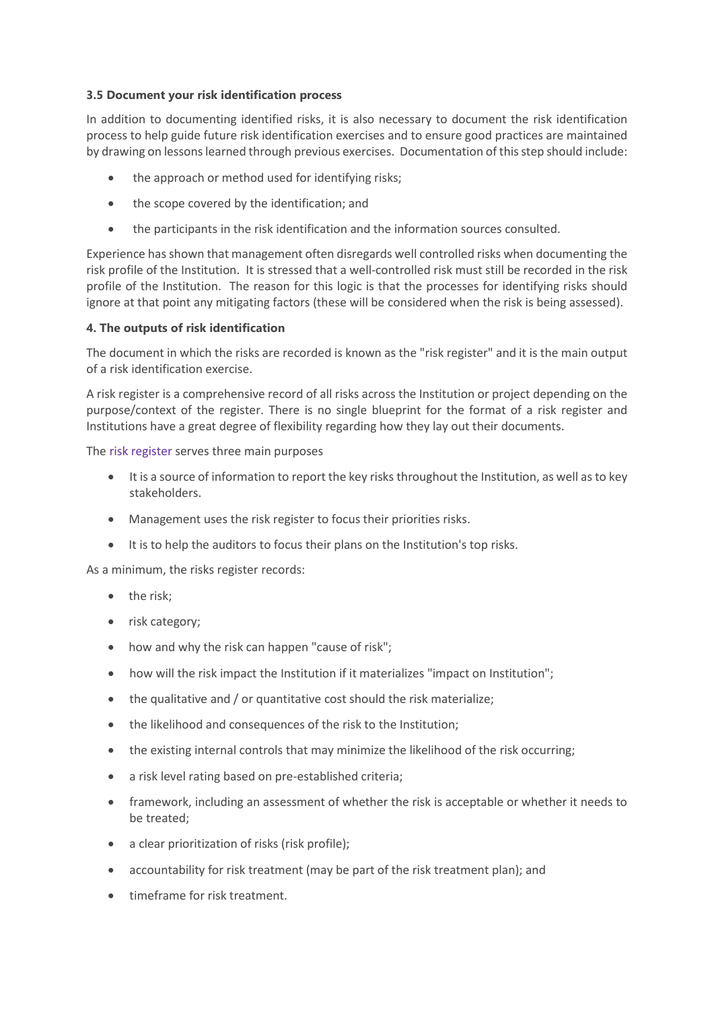## **3.5 Document your risk identification process**

In addition to documenting identified risks, it is also necessary to document the risk identification process to help guide future risk identification exercises and to ensure good practices are maintained by drawing on lessons learned through previous exercises. Documentation of this step should include:

- the approach or method used for identifying risks;
- the scope covered by the identification; and
- the participants in the risk identification and the information sources consulted.

Experience has shown that management often disregards well controlled risks when documenting the risk profile of the Institution. It is stressed that a well-controlled risk must still be recorded in the risk profile of the Institution. The reason for this logic is that the processes for identifying risks should ignore at that point any mitigating factors (these will be considered when the risk is being assessed).

#### **4. The outputs of risk identification**

The document in which the risks are recorded is known as the "risk register" and it is the main output of a risk identification exercise.

A risk register is a comprehensive record of all risks across the Institution or project depending on the purpose/context of the register. There is no single blueprint for the format of a risk register and Institutions have a great degree of flexibility regarding how they lay out their documents.

The [risk register](http://ag.treasury.gov.za/org/rms/rmf/Shared%20Documents/Examples/03.%20Example%20Risk%20Register.xls) serves three main purposes

- It is a source of information to report the key risks throughout the Institution, as well as to key stakeholders.
- Management uses the risk register to focus their priorities risks.
- It is to help the auditors to focus their plans on the Institution's top risks.

As a minimum, the risks register records:

- the risk;
- risk category;
- how and why the risk can happen "cause of risk";
- how will the risk impact the Institution if it materializes "impact on Institution";
- the qualitative and / or quantitative cost should the risk materialize;
- the likelihood and consequences of the risk to the Institution;
- the existing internal controls that may minimize the likelihood of the risk occurring;
- a risk level rating based on pre-established criteria;
- framework, including an assessment of whether the risk is acceptable or whether it needs to be treated;
- a clear prioritization of risks (risk profile);
- accountability for risk treatment (may be part of the risk treatment plan); and
- timeframe for risk treatment.